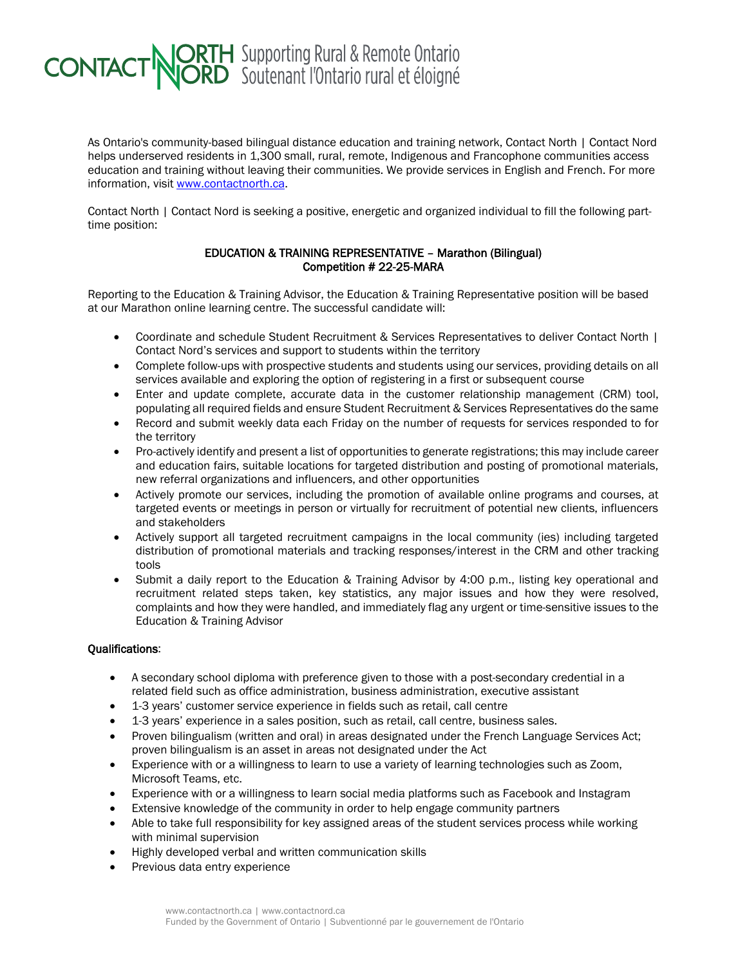## **CONTACT NORTH** Supporting Rural & Remote Ontario

As Ontario's community-based bilingual distance education and training network, Contact North | Contact Nord helps underserved residents in 1,300 small, rural, remote, Indigenous and Francophone communities access education and training without leaving their communities. We provide services in English and French. For more information, visit [www.contactnorth.ca.](http://www.contactnorth.ca/)

Contact North | Contact Nord is seeking a positive, energetic and organized individual to fill the following parttime position:

## EDUCATION & TRAINING REPRESENTATIVE – Marathon (Bilingual) Competition # 22-25-MARA

Reporting to the Education & Training Advisor, the Education & Training Representative position will be based at our Marathon online learning centre. The successful candidate will:

- Coordinate and schedule Student Recruitment & Services Representatives to deliver Contact North | Contact Nord's services and support to students within the territory
- Complete follow-ups with prospective students and students using our services, providing details on all services available and exploring the option of registering in a first or subsequent course
- Enter and update complete, accurate data in the customer relationship management (CRM) tool, populating all required fields and ensure Student Recruitment & Services Representatives do the same
- Record and submit weekly data each Friday on the number of requests for services responded to for the territory
- Pro-actively identify and present a list of opportunities to generate registrations; this may include career and education fairs, suitable locations for targeted distribution and posting of promotional materials, new referral organizations and influencers, and other opportunities
- Actively promote our services, including the promotion of available online programs and courses, at targeted events or meetings in person or virtually for recruitment of potential new clients, influencers and stakeholders
- Actively support all targeted recruitment campaigns in the local community (ies) including targeted distribution of promotional materials and tracking responses/interest in the CRM and other tracking tools
- Submit a daily report to the Education & Training Advisor by 4:00 p.m., listing key operational and recruitment related steps taken, key statistics, any major issues and how they were resolved, complaints and how they were handled, and immediately flag any urgent or time-sensitive issues to the Education & Training Advisor

## Qualifications:

- A secondary school diploma with preference given to those with a post-secondary credential in a related field such as office administration, business administration, executive assistant
- 1-3 years' customer service experience in fields such as retail, call centre
- 1-3 years' experience in a sales position, such as retail, call centre, business sales.
- Proven bilingualism (written and oral) in areas designated under the French Language Services Act; proven bilingualism is an asset in areas not designated under the Act
- Experience with or a willingness to learn to use a variety of learning technologies such as Zoom, Microsoft Teams, etc.
- Experience with or a willingness to learn social media platforms such as Facebook and Instagram
- Extensive knowledge of the community in order to help engage community partners
- Able to take full responsibility for key assigned areas of the student services process while working with minimal supervision
- Highly developed verbal and written communication skills
- Previous data entry experience